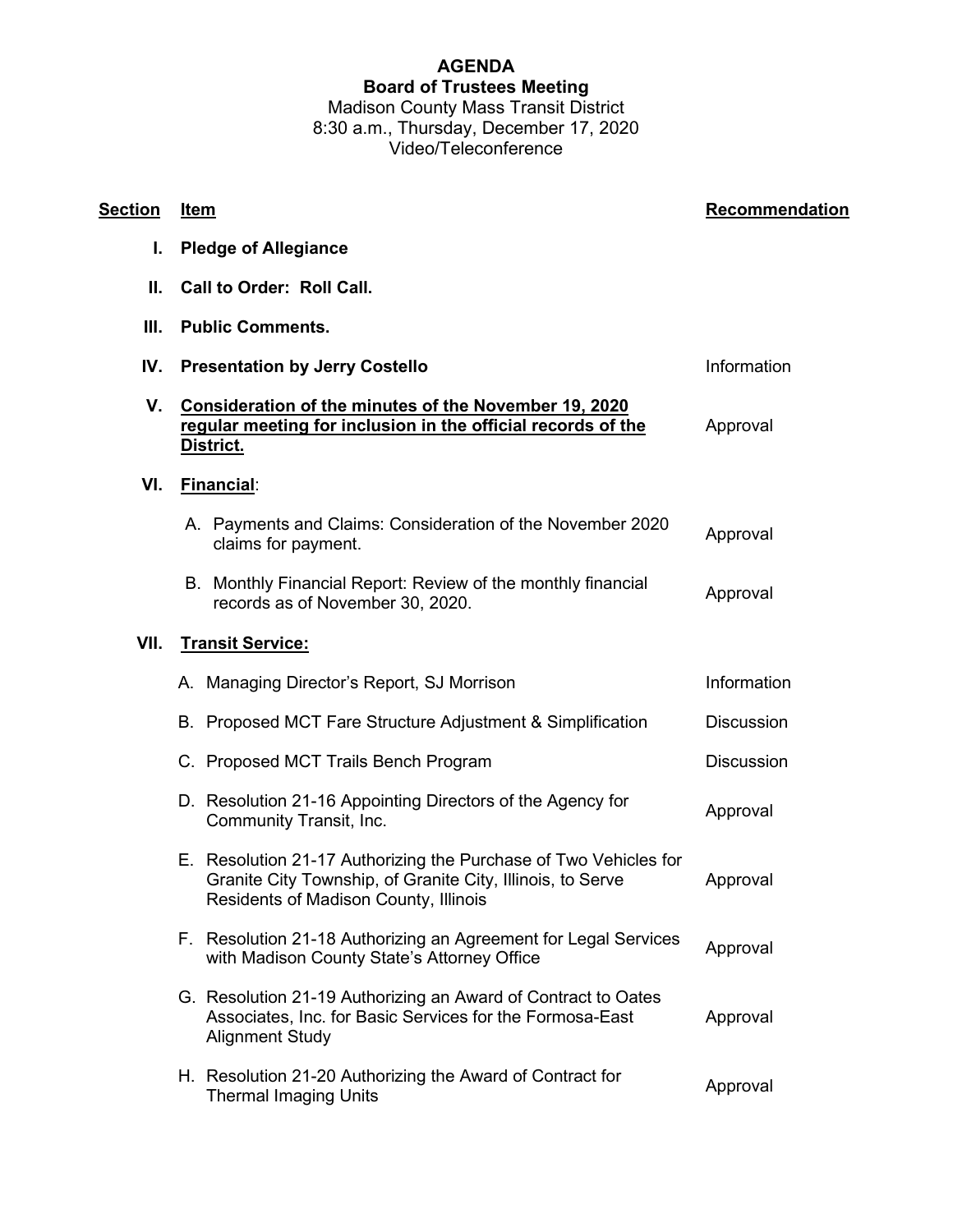## **AGENDA Board of Trustees Meeting** Madison County Mass Transit District 8:30 a.m., Thursday, December 17, 2020

Video/Teleconference

| <u>Section</u> | Item                                                                                                                                                                    | Recommendation    |
|----------------|-------------------------------------------------------------------------------------------------------------------------------------------------------------------------|-------------------|
| I.             | <b>Pledge of Allegiance</b>                                                                                                                                             |                   |
| Ш.             | <b>Call to Order: Roll Call.</b>                                                                                                                                        |                   |
| Ш.             | <b>Public Comments.</b>                                                                                                                                                 |                   |
| IV.            | <b>Presentation by Jerry Costello</b>                                                                                                                                   | Information       |
| V.             | Consideration of the minutes of the November 19, 2020<br>regular meeting for inclusion in the official records of the<br><u>District.</u>                               | Approval          |
| VI.            | Financial:                                                                                                                                                              |                   |
|                | A. Payments and Claims: Consideration of the November 2020<br>claims for payment.                                                                                       | Approval          |
|                | B. Monthly Financial Report: Review of the monthly financial<br>records as of November 30, 2020.                                                                        | Approval          |
| VII.           | <b>Transit Service:</b>                                                                                                                                                 |                   |
|                | A. Managing Director's Report, SJ Morrison                                                                                                                              | Information       |
|                | B. Proposed MCT Fare Structure Adjustment & Simplification                                                                                                              | <b>Discussion</b> |
|                | C. Proposed MCT Trails Bench Program                                                                                                                                    | <b>Discussion</b> |
|                | D. Resolution 21-16 Appointing Directors of the Agency for<br>Community Transit, Inc.                                                                                   | Approval          |
|                | E. Resolution 21-17 Authorizing the Purchase of Two Vehicles for<br>Granite City Township, of Granite City, Illinois, to Serve<br>Residents of Madison County, Illinois | Approval          |
|                | F. Resolution 21-18 Authorizing an Agreement for Legal Services<br>with Madison County State's Attorney Office                                                          | Approval          |
|                | G. Resolution 21-19 Authorizing an Award of Contract to Oates<br>Associates, Inc. for Basic Services for the Formosa-East<br><b>Alignment Study</b>                     | Approval          |
|                | H. Resolution 21-20 Authorizing the Award of Contract for<br><b>Thermal Imaging Units</b>                                                                               | Approval          |